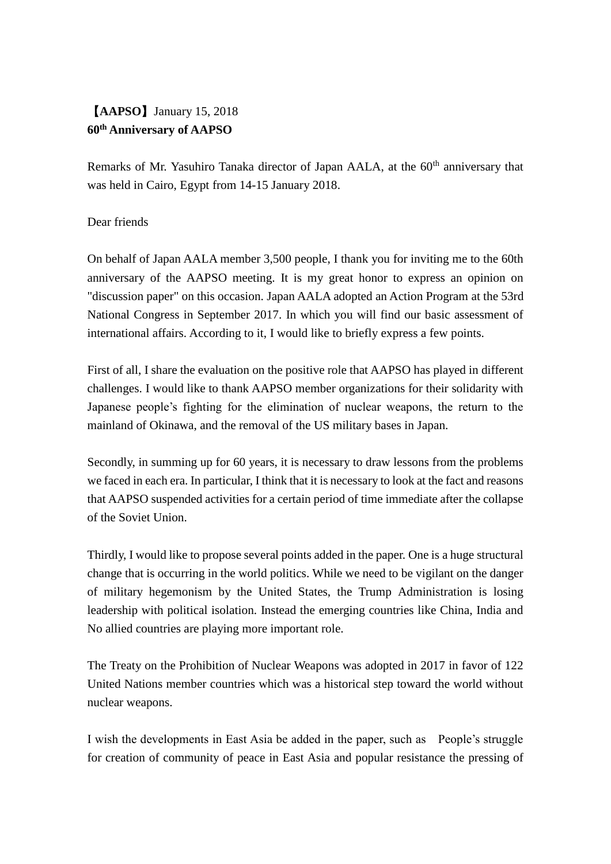## 【**AAPSO**】January 15, 2018 **60th Anniversary of AAPSO**

Remarks of Mr. Yasuhiro Tanaka director of Japan AALA, at the 60<sup>th</sup> anniversary that was held in Cairo, Egypt from 14-15 January 2018.

## Dear friends

On behalf of Japan AALA member 3,500 people, I thank you for inviting me to the 60th anniversary of the AAPSO meeting. It is my great honor to express an opinion on "discussion paper" on this occasion. Japan AALA adopted an Action Program at the 53rd National Congress in September 2017. In which you will find our basic assessment of international affairs. According to it, I would like to briefly express a few points.

First of all, I share the evaluation on the positive role that AAPSO has played in different challenges. I would like to thank AAPSO member organizations for their solidarity with Japanese people's fighting for the elimination of nuclear weapons, the return to the mainland of Okinawa, and the removal of the US military bases in Japan.

Secondly, in summing up for 60 years, it is necessary to draw lessons from the problems we faced in each era. In particular, I think that it is necessary to look at the fact and reasons that AAPSO suspended activities for a certain period of time immediate after the collapse of the Soviet Union.

Thirdly, I would like to propose several points added in the paper. One is a huge structural change that is occurring in the world politics. While we need to be vigilant on the danger of military hegemonism by the United States, the Trump Administration is losing leadership with political isolation. Instead the emerging countries like China, India and No allied countries are playing more important role.

The Treaty on the Prohibition of Nuclear Weapons was adopted in 2017 in favor of 122 United Nations member countries which was a historical step toward the world without nuclear weapons.

I wish the developments in East Asia be added in the paper, such as People's struggle for creation of community of peace in East Asia and popular resistance the pressing of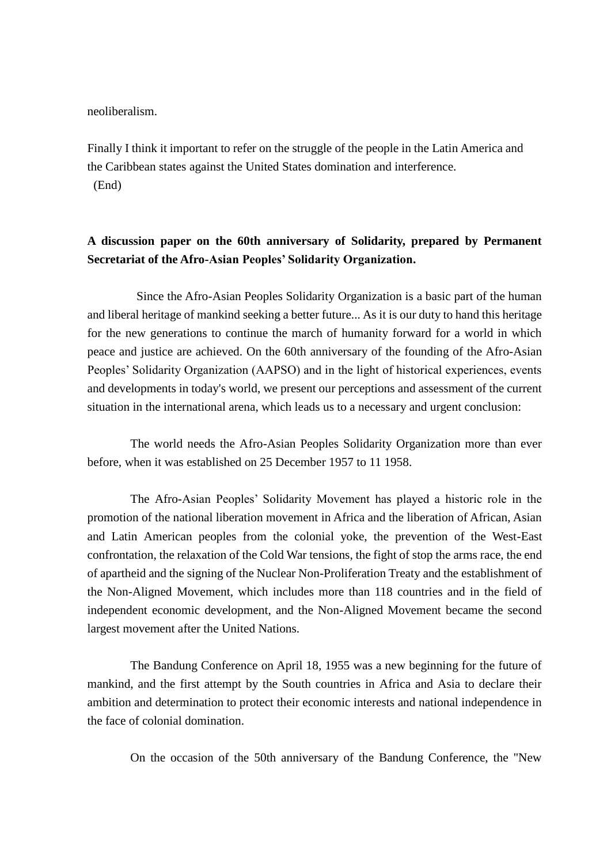neoliberalism.

Finally I think it important to refer on the struggle of the people in the Latin America and the Caribbean states against the United States domination and interference. (End)

## **A discussion paper on the 60th anniversary of Solidarity, prepared by Permanent Secretariat of the Afro-Asian Peoples' Solidarity Organization.**

 Since the Afro-Asian Peoples Solidarity Organization is a basic part of the human and liberal heritage of mankind seeking a better future... As it is our duty to hand this heritage for the new generations to continue the march of humanity forward for a world in which peace and justice are achieved. On the 60th anniversary of the founding of the Afro-Asian Peoples' Solidarity Organization (AAPSO) and in the light of historical experiences, events and developments in today's world, we present our perceptions and assessment of the current situation in the international arena, which leads us to a necessary and urgent conclusion:

The world needs the Afro-Asian Peoples Solidarity Organization more than ever before, when it was established on 25 December 1957 to 11 1958.

 The Afro-Asian Peoples' Solidarity Movement has played a historic role in the promotion of the national liberation movement in Africa and the liberation of African, Asian and Latin American peoples from the colonial yoke, the prevention of the West-East confrontation, the relaxation of the Cold War tensions, the fight of stop the arms race, the end of apartheid and the signing of the Nuclear Non-Proliferation Treaty and the establishment of the Non-Aligned Movement, which includes more than 118 countries and in the field of independent economic development, and the Non-Aligned Movement became the second largest movement after the United Nations.

The Bandung Conference on April 18, 1955 was a new beginning for the future of mankind, and the first attempt by the South countries in Africa and Asia to declare their ambition and determination to protect their economic interests and national independence in the face of colonial domination.

On the occasion of the 50th anniversary of the Bandung Conference, the "New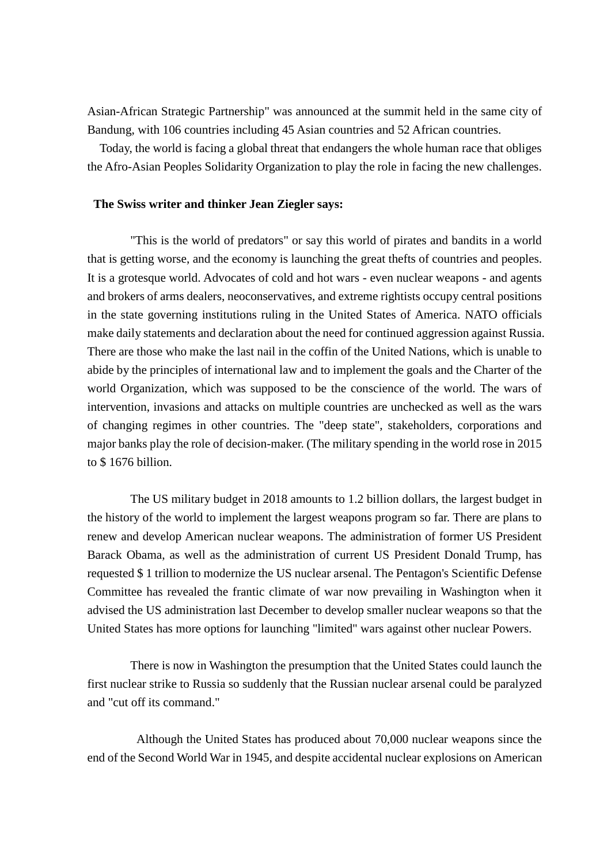Asian-African Strategic Partnership" was announced at the summit held in the same city of Bandung, with 106 countries including 45 Asian countries and 52 African countries.

 Today, the world is facing a global threat that endangers the whole human race that obliges the Afro-Asian Peoples Solidarity Organization to play the role in facing the new challenges.

## **The Swiss writer and thinker Jean Ziegler says:**

 "This is the world of predators" or say this world of pirates and bandits in a world that is getting worse, and the economy is launching the great thefts of countries and peoples. It is a grotesque world. Advocates of cold and hot wars - even nuclear weapons - and agents and brokers of arms dealers, neoconservatives, and extreme rightists occupy central positions in the state governing institutions ruling in the United States of America. NATO officials make daily statements and declaration about the need for continued aggression against Russia. There are those who make the last nail in the coffin of the United Nations, which is unable to abide by the principles of international law and to implement the goals and the Charter of the world Organization, which was supposed to be the conscience of the world. The wars of intervention, invasions and attacks on multiple countries are unchecked as well as the wars of changing regimes in other countries. The "deep state", stakeholders, corporations and major banks play the role of decision-maker. (The military spending in the world rose in 2015 to \$ 1676 billion.

The US military budget in 2018 amounts to 1.2 billion dollars, the largest budget in the history of the world to implement the largest weapons program so far. There are plans to renew and develop American nuclear weapons. The administration of former US President Barack Obama, as well as the administration of current US President Donald Trump, has requested \$ 1 trillion to modernize the US nuclear arsenal. The Pentagon's Scientific Defense Committee has revealed the frantic climate of war now prevailing in Washington when it advised the US administration last December to develop smaller nuclear weapons so that the United States has more options for launching "limited" wars against other nuclear Powers.

There is now in Washington the presumption that the United States could launch the first nuclear strike to Russia so suddenly that the Russian nuclear arsenal could be paralyzed and "cut off its command."

 Although the United States has produced about 70,000 nuclear weapons since the end of the Second World War in 1945, and despite accidental nuclear explosions on American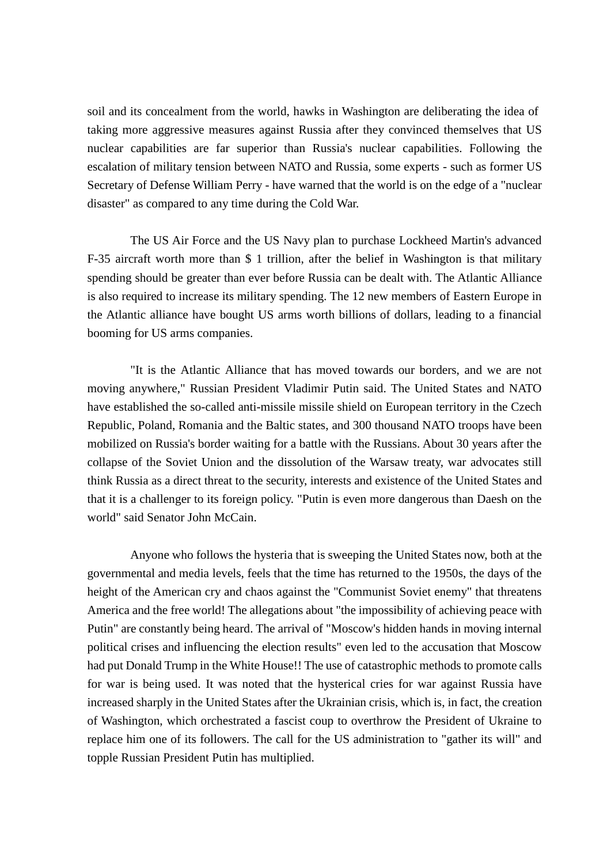soil and its concealment from the world, hawks in Washington are deliberating the idea of taking more aggressive measures against Russia after they convinced themselves that US nuclear capabilities are far superior than Russia's nuclear capabilities. Following the escalation of military tension between NATO and Russia, some experts - such as former US Secretary of Defense William Perry - have warned that the world is on the edge of a "nuclear disaster" as compared to any time during the Cold War.

The US Air Force and the US Navy plan to purchase Lockheed Martin's advanced F-35 aircraft worth more than \$ 1 trillion, after the belief in Washington is that military spending should be greater than ever before Russia can be dealt with. The Atlantic Alliance is also required to increase its military spending. The 12 new members of Eastern Europe in the Atlantic alliance have bought US arms worth billions of dollars, leading to a financial booming for US arms companies.

"It is the Atlantic Alliance that has moved towards our borders, and we are not moving anywhere," Russian President Vladimir Putin said. The United States and NATO have established the so-called anti-missile missile shield on European territory in the Czech Republic, Poland, Romania and the Baltic states, and 300 thousand NATO troops have been mobilized on Russia's border waiting for a battle with the Russians. About 30 years after the collapse of the Soviet Union and the dissolution of the Warsaw treaty, war advocates still think Russia as a direct threat to the security, interests and existence of the United States and that it is a challenger to its foreign policy. "Putin is even more dangerous than Daesh on the world" said Senator John McCain.

Anyone who follows the hysteria that is sweeping the United States now, both at the governmental and media levels, feels that the time has returned to the 1950s, the days of the height of the American cry and chaos against the "Communist Soviet enemy" that threatens America and the free world! The allegations about "the impossibility of achieving peace with Putin" are constantly being heard. The arrival of "Moscow's hidden hands in moving internal political crises and influencing the election results" even led to the accusation that Moscow had put Donald Trump in the White House!! The use of catastrophic methods to promote calls for war is being used. It was noted that the hysterical cries for war against Russia have increased sharply in the United States after the Ukrainian crisis, which is, in fact, the creation of Washington, which orchestrated a fascist coup to overthrow the President of Ukraine to replace him one of its followers. The call for the US administration to "gather its will" and topple Russian President Putin has multiplied.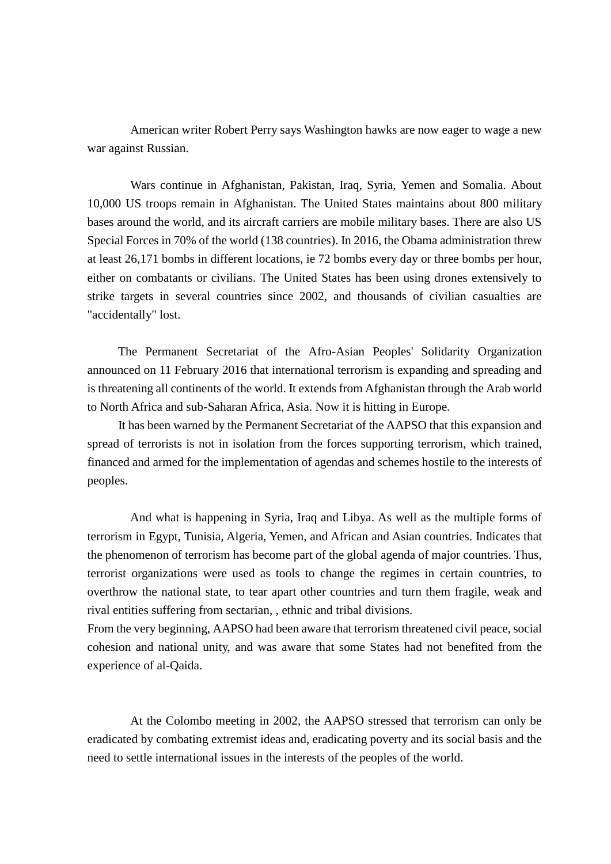American writer Robert Perry says Washington hawks are now eager to wage a new war against Russian.

 Wars continue in Afghanistan, Pakistan, Iraq, Syria, Yemen and Somalia. About 10,000 US troops remain in Afghanistan. The United States maintains about 800 military bases around the world, and its aircraft carriers are mobile military bases. There are also US Special Forces in 70% of the world (138 countries). In 2016, the Obama administration threw at least 26,171 bombs in different locations, ie 72 bombs every day or three bombs per hour, either on combatants or civilians. The United States has been using drones extensively to strike targets in several countries since 2002, and thousands of civilian casualties are "accidentally" lost.

 The Permanent Secretariat of the Afro-Asian Peoples' Solidarity Organization announced on 11 February 2016 that international terrorism is expanding and spreading and is threatening all continents of the world. It extends from Afghanistan through the Arab world to North Africa and sub-Saharan Africa, Asia. Now it is hitting in Europe.

 It has been warned by the Permanent Secretariat of the AAPSO that this expansion and spread of terrorists is not in isolation from the forces supporting terrorism, which trained, financed and armed for the implementation of agendas and schemes hostile to the interests of peoples.

And what is happening in Syria, Iraq and Libya. As well as the multiple forms of terrorism in Egypt, Tunisia, Algeria, Yemen, and African and Asian countries. Indicates that the phenomenon of terrorism has become part of the global agenda of major countries. Thus, terrorist organizations were used as tools to change the regimes in certain countries, to overthrow the national state, to tear apart other countries and turn them fragile, weak and rival entities suffering from sectarian, , ethnic and tribal divisions.

From the very beginning, AAPSO had been aware that terrorism threatened civil peace, social cohesion and national unity, and was aware that some States had not benefited from the experience of al-Qaida.

At the Colombo meeting in 2002, the AAPSO stressed that terrorism can only be eradicated by combating extremist ideas and, eradicating poverty and its social basis and the need to settle international issues in the interests of the peoples of the world.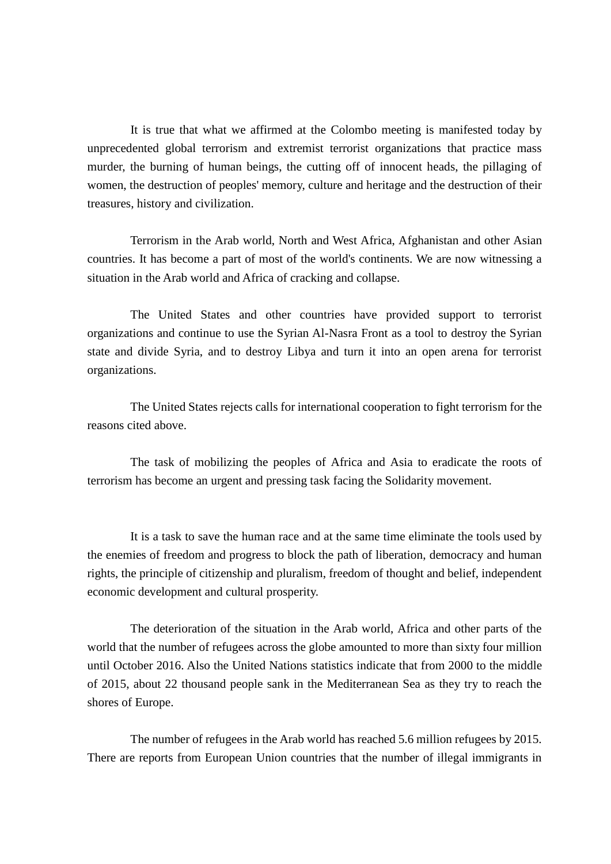It is true that what we affirmed at the Colombo meeting is manifested today by unprecedented global terrorism and extremist terrorist organizations that practice mass murder, the burning of human beings, the cutting off of innocent heads, the pillaging of women, the destruction of peoples' memory, culture and heritage and the destruction of their treasures, history and civilization.

Terrorism in the Arab world, North and West Africa, Afghanistan and other Asian countries. It has become a part of most of the world's continents. We are now witnessing a situation in the Arab world and Africa of cracking and collapse.

 The United States and other countries have provided support to terrorist organizations and continue to use the Syrian Al-Nasra Front as a tool to destroy the Syrian state and divide Syria, and to destroy Libya and turn it into an open arena for terrorist organizations.

 The United States rejects calls for international cooperation to fight terrorism for the reasons cited above.

The task of mobilizing the peoples of Africa and Asia to eradicate the roots of terrorism has become an urgent and pressing task facing the Solidarity movement.

It is a task to save the human race and at the same time eliminate the tools used by the enemies of freedom and progress to block the path of liberation, democracy and human rights, the principle of citizenship and pluralism, freedom of thought and belief, independent economic development and cultural prosperity.

The deterioration of the situation in the Arab world, Africa and other parts of the world that the number of refugees across the globe amounted to more than sixty four million until October 2016. Also the United Nations statistics indicate that from 2000 to the middle of 2015, about 22 thousand people sank in the Mediterranean Sea as they try to reach the shores of Europe.

The number of refugees in the Arab world has reached 5.6 million refugees by 2015. There are reports from European Union countries that the number of illegal immigrants in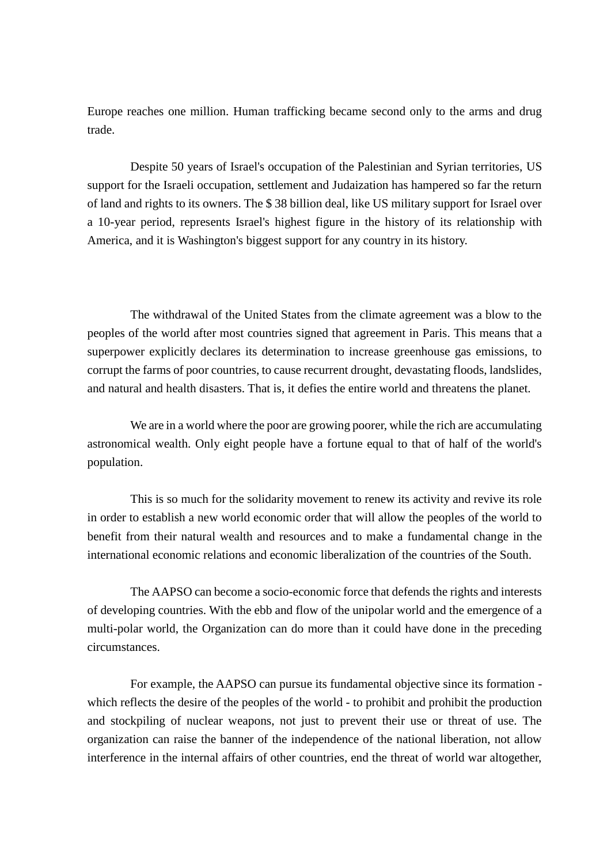Europe reaches one million. Human trafficking became second only to the arms and drug trade.

 Despite 50 years of Israel's occupation of the Palestinian and Syrian territories, US support for the Israeli occupation, settlement and Judaization has hampered so far the return of land and rights to its owners. The \$ 38 billion deal, like US military support for Israel over a 10-year period, represents Israel's highest figure in the history of its relationship with America, and it is Washington's biggest support for any country in its history.

 The withdrawal of the United States from the climate agreement was a blow to the peoples of the world after most countries signed that agreement in Paris. This means that a superpower explicitly declares its determination to increase greenhouse gas emissions, to corrupt the farms of poor countries, to cause recurrent drought, devastating floods, landslides, and natural and health disasters. That is, it defies the entire world and threatens the planet.

 We are in a world where the poor are growing poorer, while the rich are accumulating astronomical wealth. Only eight people have a fortune equal to that of half of the world's population.

This is so much for the solidarity movement to renew its activity and revive its role in order to establish a new world economic order that will allow the peoples of the world to benefit from their natural wealth and resources and to make a fundamental change in the international economic relations and economic liberalization of the countries of the South.

 The AAPSO can become a socio-economic force that defends the rights and interests of developing countries. With the ebb and flow of the unipolar world and the emergence of a multi-polar world, the Organization can do more than it could have done in the preceding circumstances.

For example, the AAPSO can pursue its fundamental objective since its formation which reflects the desire of the peoples of the world - to prohibit and prohibit the production and stockpiling of nuclear weapons, not just to prevent their use or threat of use. The organization can raise the banner of the independence of the national liberation, not allow interference in the internal affairs of other countries, end the threat of world war altogether,